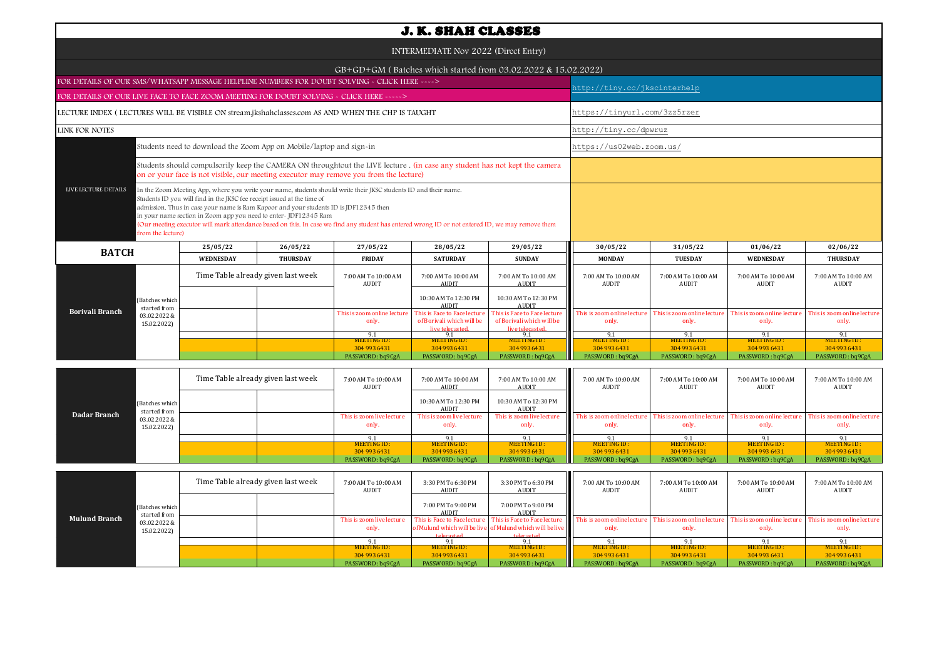| <b>J. K. SHAH CLASSES</b>                                                                                                                                                                                                                                                                                                                                                                                                                                                                                                                                |                                    |                 |                                                                                                                                                                                                                      |                                                                              |                                                                              |                                     |                                     |                                     |                                      |  |  |
|----------------------------------------------------------------------------------------------------------------------------------------------------------------------------------------------------------------------------------------------------------------------------------------------------------------------------------------------------------------------------------------------------------------------------------------------------------------------------------------------------------------------------------------------------------|------------------------------------|-----------------|----------------------------------------------------------------------------------------------------------------------------------------------------------------------------------------------------------------------|------------------------------------------------------------------------------|------------------------------------------------------------------------------|-------------------------------------|-------------------------------------|-------------------------------------|--------------------------------------|--|--|
| INTERMEDIATE Nov 2022 (Direct Entry)                                                                                                                                                                                                                                                                                                                                                                                                                                                                                                                     |                                    |                 |                                                                                                                                                                                                                      |                                                                              |                                                                              |                                     |                                     |                                     |                                      |  |  |
| GB+GD+GM (Batches which started from 03.02.2022 & 15.02.2022)                                                                                                                                                                                                                                                                                                                                                                                                                                                                                            |                                    |                 |                                                                                                                                                                                                                      |                                                                              |                                                                              |                                     |                                     |                                     |                                      |  |  |
| FOR DETAILS OF OUR SMS/WHATSAPP MESSAGE HELPLINE NUMBERS FOR DOUBT SOLVING - CLICK HERE ---->                                                                                                                                                                                                                                                                                                                                                                                                                                                            |                                    |                 |                                                                                                                                                                                                                      |                                                                              |                                                                              |                                     | nttp://tiny.cc/jkscinterhelp        |                                     |                                      |  |  |
| FOR DETAILS OF OUR LIVE FACE TO FACE ZOOM MEETING FOR DOUBT SOLVING - CLICK HERE ----->                                                                                                                                                                                                                                                                                                                                                                                                                                                                  |                                    |                 |                                                                                                                                                                                                                      |                                                                              |                                                                              |                                     |                                     |                                     |                                      |  |  |
| LECTURE INDEX (LECTURES WILL BE VISIBLE ON stream.jkshahclasses.com AS AND WHEN THE CHP IS TAUGHT                                                                                                                                                                                                                                                                                                                                                                                                                                                        |                                    |                 |                                                                                                                                                                                                                      |                                                                              |                                                                              |                                     | https://tinyurl.com/3zz5rzer        |                                     |                                      |  |  |
| LINK FOR NOTES                                                                                                                                                                                                                                                                                                                                                                                                                                                                                                                                           |                                    |                 |                                                                                                                                                                                                                      |                                                                              |                                                                              |                                     | http://tiny.cc/dpwruz               |                                     |                                      |  |  |
| Students need to download the Zoom App on Mobile/laptop and sign-in                                                                                                                                                                                                                                                                                                                                                                                                                                                                                      |                                    |                 |                                                                                                                                                                                                                      |                                                                              |                                                                              |                                     | https://us02web.zoom.us/            |                                     |                                      |  |  |
|                                                                                                                                                                                                                                                                                                                                                                                                                                                                                                                                                          |                                    |                 | Students should compulsorily keep the CAMERA ON throughtout the LIVE lecture . (in case any student has not kept the camera<br>on or your face is not visible, our meeting executor may remove you from the lecture) |                                                                              |                                                                              |                                     |                                     |                                     |                                      |  |  |
| LIVE LECTURE DETAILS<br>In the Zoom Meeting App, where you write your name, students should write their JKSC students ID and their name.<br>Students ID you will find in the JKSC fee receipt issued at the time of<br>admission. Thus in case your name is Ram Kapoor and your students ID is JDF12345 then<br>in your name section in Zoom app you need to enter-JDF12345 Ram<br>(Our meeting executor will mark attendance based on this. In case we find any student has entered wrong ID or not entered ID, we may remove them<br>from the lecture) |                                    |                 |                                                                                                                                                                                                                      |                                                                              |                                                                              |                                     |                                     |                                     |                                      |  |  |
| <b>BATCH</b>                                                                                                                                                                                                                                                                                                                                                                                                                                                                                                                                             | 25/05/22                           | 26/05/22        | 27/05/22                                                                                                                                                                                                             | 28/05/22                                                                     | 29/05/22                                                                     | 30/05/22                            | 31/05/22                            | 01/06/22                            | 02/06/22                             |  |  |
|                                                                                                                                                                                                                                                                                                                                                                                                                                                                                                                                                          | <b>WEDNESDAY</b>                   | <b>THURSDAY</b> | <b>FRIDAY</b>                                                                                                                                                                                                        | <b>SATURDAY</b>                                                              | <b>SUNDAY</b>                                                                | <b>MONDAY</b>                       | <b>TUESDAY</b>                      | <b>WEDNESDAY</b>                    | <b>THURSDAY</b>                      |  |  |
|                                                                                                                                                                                                                                                                                                                                                                                                                                                                                                                                                          | Time Table already given last week |                 | 7:00 AM To 10:00 AM<br><b>AUDIT</b>                                                                                                                                                                                  | 7:00 AM To 10:00 AM<br><b>AUDIT</b>                                          | 7:00 AM To 10:00 AM<br><b>AUDIT</b>                                          | 7:00 AM To 10:00 AM<br><b>AUDIT</b> | 7:00 AM To 10:00 AM<br><b>AUDIT</b> | 7:00 AM To 10:00 AM<br><b>AUDIT</b> | 7:00 AM To 10:00 AM<br>AUDIT         |  |  |
| (Batches which<br>started from                                                                                                                                                                                                                                                                                                                                                                                                                                                                                                                           |                                    |                 |                                                                                                                                                                                                                      | 10:30 AM To 12:30 PM<br><b>AUDIT</b>                                         | 10:30 AM To 12:30 PM<br><b>AUDIT</b>                                         |                                     |                                     |                                     |                                      |  |  |
| <b>Borivali Branch</b><br>03.02.2022 &<br>15.02.2022)                                                                                                                                                                                                                                                                                                                                                                                                                                                                                                    |                                    |                 | This is zoom online lecture<br>only.                                                                                                                                                                                 | This is Face to Face lecture<br>of Borivali which will be<br>live telecasted | This is Face to Face lecture<br>of Borivali which will be<br>live telecasted | This is zoom online lectur<br>only. | This is zoom online lectur<br>only. | This is zoom online lectur<br>only. | This is zoom online lecture<br>only. |  |  |
|                                                                                                                                                                                                                                                                                                                                                                                                                                                                                                                                                          |                                    |                 | 9.1<br><b>MEETING ID:</b>                                                                                                                                                                                            | 9.1<br><b>MEETING ID:</b>                                                    | 9.1<br>MEETING ID:                                                           | 9.1<br>MEETING ID:                  | 9.1<br>MEETING ID:                  | 9.1<br>MEETING ID:                  | 9.1<br>MEETING ID:                   |  |  |
|                                                                                                                                                                                                                                                                                                                                                                                                                                                                                                                                                          |                                    |                 | 304 993 6431                                                                                                                                                                                                         | 304 993 6431                                                                 | 304 993 6431                                                                 | 304 993 6431                        | 304 993 6431                        | 304 993 6431                        | 304 993 6431                         |  |  |
|                                                                                                                                                                                                                                                                                                                                                                                                                                                                                                                                                          |                                    |                 | PASSWORD: bq9CgA                                                                                                                                                                                                     | PASSWORD: bq9CgA                                                             | PASSWORD: bq9CgA                                                             | PASSWORD: bq9CgA                    | PASSWORD: bq9CgA                    | PASSWORD: bq9CgA                    | PASSWORD: bq9CgA                     |  |  |

|              |                             |                                | Time Table already given last week |                                   | 7:00 AM To 10:00 AM<br>AUDIT       | 7:00 AM To 10:00 AM<br>AUDIT         | 7:00 AM To 10:00 AM<br>AUDIT                                                                                             | 7:00 AM To 10:00 AM<br>AUDIT | 7:00 AM To 10:00 AM<br>AUDIT | 7:00 AM To 10:00 AM<br>AUDIT | 7:00 AM To 10:00 AM<br>AUDIT |
|--------------|-----------------------------|--------------------------------|------------------------------------|-----------------------------------|------------------------------------|--------------------------------------|--------------------------------------------------------------------------------------------------------------------------|------------------------------|------------------------------|------------------------------|------------------------------|
|              |                             | (Batches which<br>started from |                                    |                                   |                                    | 10:30 AM To 12:30 PM<br><b>AUDIT</b> | 10:30 AM To 12:30 PM<br>AUDIT                                                                                            |                              |                              |                              |                              |
| Dadar Branch | 03.02.2022 &<br>15.02.2022) |                                |                                    | This is zoom live lecture<br>only | This is zoom live lecture<br>only. | This is zoom live lecture<br>only.   | This is zoom online lecture This is zoom online lecture This is zoom online lecture This is zoom online lecture<br>only. | only.                        | only.                        | only.                        |                              |
|              |                             |                                |                                    |                                   | 9.1                                |                                      |                                                                                                                          | $\Omega$                     |                              |                              |                              |
|              |                             |                                |                                    |                                   | MEETING ID:                        | MEETING ID:                          | MEETING ID:                                                                                                              | MEETING ID:                  | MEETING ID:                  | MEETING ID:                  | MEETING ID:                  |
|              |                             |                                |                                    |                                   | 304 993 6431                       | 304 993 6431                         | 304 993 6431                                                                                                             | 304 993 6431                 | 304 993 6431                 | 304 993 6431                 | 304 993 6431                 |
|              |                             |                                |                                    |                                   | PASSWORD: bq9CgA                   | PASSWORD: bq9CgA                     | PASSWORD: bq9CgA                                                                                                         | PASSWORD: bq9CgA             | PASSWORD: bq9CgA             | PASSWORD: bq9CgA             | PASSWORD: bq9CgA             |

| started from<br><b>Mulund Branch</b> |                | Time Table already given last week |  | 7:00 AM To 10:00 AM<br>AUDIT | 3:30 PM To 6:30 PM<br>AUDIT | 3:30 PM To 6:30 PM<br>AUDIT                               | 7:00 AM To 10:00 AM<br>AUDIT                                                          | 7:00 AM To 10:00 AM<br>AUDIT | 7:00 AM To 10:00 AM<br>AUDIT                                                                                                     | 7:00 AM To 10:00 AM<br>AUDIT |
|--------------------------------------|----------------|------------------------------------|--|------------------------------|-----------------------------|-----------------------------------------------------------|---------------------------------------------------------------------------------------|------------------------------|----------------------------------------------------------------------------------------------------------------------------------|------------------------------|
|                                      | (Batches which |                                    |  |                              | 7:00 PM To 9:00 PM<br>AUDIT | 7:00 PM To 9:00 PM<br>AUDIT                               |                                                                                       |                              |                                                                                                                                  |                              |
|                                      | 03.02.2022 &   |                                    |  | This is zoom live lecture    |                             |                                                           | This is Face to Face lecture This is Face to Face lecture This is zoom online lecture |                              | $\blacksquare$ This is zoom online lecture $\blacksquare$ This is zoom online lecture $\blacksquare$ This is zoom online lecture |                              |
|                                      | 15.02.2022)    |                                    |  | only.                        |                             | of Mulund which will be live of Mulund which will be live | only.                                                                                 | only.                        | only.                                                                                                                            | only.                        |
|                                      |                |                                    |  |                              | telecasted.                 | telecasted.                                               |                                                                                       |                              |                                                                                                                                  |                              |
|                                      |                |                                    |  |                              |                             |                                                           |                                                                                       |                              |                                                                                                                                  |                              |
|                                      |                |                                    |  | MEETING ID :                 | MEETING ID :                | MEETING ID:                                               | <b>MEETING ID:</b>                                                                    | <b>MEETING ID:</b>           | <b>MEETING ID:</b>                                                                                                               | MEETING ID:                  |
|                                      |                |                                    |  | 304 993 6431                 | 304 993 6431                | 304 993 6431                                              | 304 993 6431                                                                          | 304 993 6431                 | 304 993 6431                                                                                                                     | 304 993 6431                 |
|                                      |                |                                    |  | PASSWORD: bq9CgA             | PASSWORD: bq9CgA            | PASSWORD: bq9CgA                                          | PASSWORD: bq9CgA                                                                      | PASSWORD: bq9CgA             | PASSWORD: bq9CgA                                                                                                                 | PASSWORD: bq9CgA             |